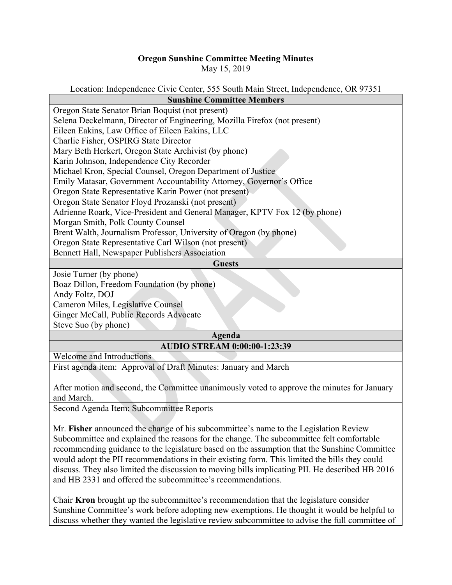## **Oregon Sunshine Committee Meeting Minutes** May 15, 2019

## Location: Independence Civic Center, 555 South Main Street, Independence, OR 97351 **Sunshine Committee Members**

| sunsmne Commutee Members                                                   |
|----------------------------------------------------------------------------|
| Oregon State Senator Brian Boquist (not present)                           |
| Selena Deckelmann, Director of Engineering, Mozilla Firefox (not present)  |
| Eileen Eakins, Law Office of Eileen Eakins, LLC                            |
| Charlie Fisher, OSPIRG State Director                                      |
| Mary Beth Herkert, Oregon State Archivist (by phone)                       |
| Karin Johnson, Independence City Recorder                                  |
| Michael Kron, Special Counsel, Oregon Department of Justice                |
| Emily Matasar, Government Accountability Attorney, Governor's Office       |
| Oregon State Representative Karin Power (not present)                      |
| Oregon State Senator Floyd Prozanski (not present)                         |
| Adrienne Roark, Vice-President and General Manager, KPTV Fox 12 (by phone) |
| Morgan Smith, Polk County Counsel                                          |
| Brent Walth, Journalism Professor, University of Oregon (by phone)         |
| Oregon State Representative Carl Wilson (not present)                      |
| Bennett Hall, Newspaper Publishers Association                             |
| <b>Guests</b>                                                              |
| Josie Turner (by phone)                                                    |
| Boaz Dillon, Freedom Foundation (by phone)                                 |
|                                                                            |

Andy Foltz, DOJ

Cameron Miles, Legislative Counsel

Ginger McCall, Public Records Advocate

Steve Suo (by phone)

## **Agenda AUDIO STREAM 0:00:00-1:23:39**

Welcome and Introductions

First agenda item: Approval of Draft Minutes: January and March

After motion and second, the Committee unanimously voted to approve the minutes for January and March.

Second Agenda Item: Subcommittee Reports

Mr. **Fisher** announced the change of his subcommittee's name to the Legislation Review Subcommittee and explained the reasons for the change. The subcommittee felt comfortable recommending guidance to the legislature based on the assumption that the Sunshine Committee would adopt the PII recommendations in their existing form. This limited the bills they could discuss. They also limited the discussion to moving bills implicating PII. He described HB 2016 and HB 2331 and offered the subcommittee's recommendations.

Chair **Kron** brought up the subcommittee's recommendation that the legislature consider Sunshine Committee's work before adopting new exemptions. He thought it would be helpful to discuss whether they wanted the legislative review subcommittee to advise the full committee of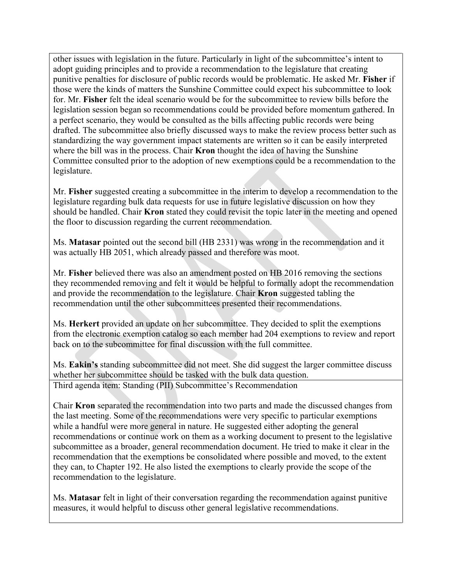other issues with legislation in the future. Particularly in light of the subcommittee's intent to adopt guiding principles and to provide a recommendation to the legislature that creating punitive penalties for disclosure of public records would be problematic. He asked Mr. **Fisher** if those were the kinds of matters the Sunshine Committee could expect his subcommittee to look for. Mr. **Fisher** felt the ideal scenario would be for the subcommittee to review bills before the legislation session began so recommendations could be provided before momentum gathered. In a perfect scenario, they would be consulted as the bills affecting public records were being drafted. The subcommittee also briefly discussed ways to make the review process better such as standardizing the way government impact statements are written so it can be easily interpreted where the bill was in the process. Chair **Kron** thought the idea of having the Sunshine Committee consulted prior to the adoption of new exemptions could be a recommendation to the legislature.

Mr. **Fisher** suggested creating a subcommittee in the interim to develop a recommendation to the legislature regarding bulk data requests for use in future legislative discussion on how they should be handled. Chair **Kron** stated they could revisit the topic later in the meeting and opened the floor to discussion regarding the current recommendation.

Ms. **Matasar** pointed out the second bill (HB 2331) was wrong in the recommendation and it was actually HB 2051, which already passed and therefore was moot.

Mr. **Fisher** believed there was also an amendment posted on HB 2016 removing the sections they recommended removing and felt it would be helpful to formally adopt the recommendation and provide the recommendation to the legislature. Chair **Kron** suggested tabling the recommendation until the other subcommittees presented their recommendations.

Ms. **Herkert** provided an update on her subcommittee. They decided to split the exemptions from the electronic exemption catalog so each member had 204 exemptions to review and report back on to the subcommittee for final discussion with the full committee.

Ms. **Eakin's** standing subcommittee did not meet. She did suggest the larger committee discuss whether her subcommittee should be tasked with the bulk data question. Third agenda item: Standing (PII) Subcommittee's Recommendation

Chair **Kron** separated the recommendation into two parts and made the discussed changes from the last meeting. Some of the recommendations were very specific to particular exemptions while a handful were more general in nature. He suggested either adopting the general recommendations or continue work on them as a working document to present to the legislative subcommittee as a broader, general recommendation document. He tried to make it clear in the recommendation that the exemptions be consolidated where possible and moved, to the extent they can, to Chapter 192. He also listed the exemptions to clearly provide the scope of the recommendation to the legislature.

Ms. **Matasar** felt in light of their conversation regarding the recommendation against punitive measures, it would helpful to discuss other general legislative recommendations.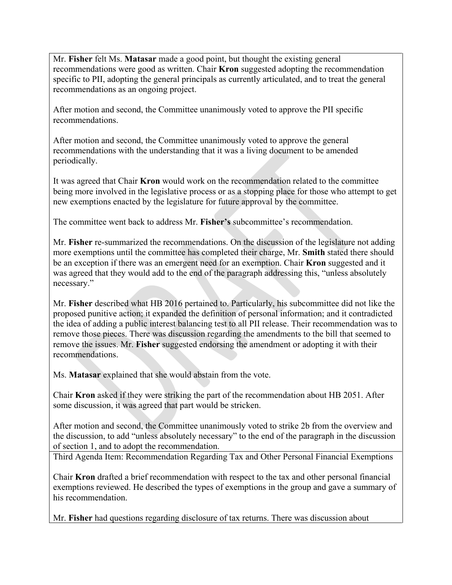Mr. **Fisher** felt Ms. **Matasar** made a good point, but thought the existing general recommendations were good as written. Chair **Kron** suggested adopting the recommendation specific to PII, adopting the general principals as currently articulated, and to treat the general recommendations as an ongoing project.

After motion and second, the Committee unanimously voted to approve the PII specific recommendations.

After motion and second, the Committee unanimously voted to approve the general recommendations with the understanding that it was a living document to be amended periodically.

It was agreed that Chair **Kron** would work on the recommendation related to the committee being more involved in the legislative process or as a stopping place for those who attempt to get new exemptions enacted by the legislature for future approval by the committee.

The committee went back to address Mr. **Fisher's** subcommittee's recommendation.

Mr. **Fisher** re-summarized the recommendations. On the discussion of the legislature not adding more exemptions until the committee has completed their charge, Mr. **Smith** stated there should be an exception if there was an emergent need for an exemption. Chair **Kron** suggested and it was agreed that they would add to the end of the paragraph addressing this, "unless absolutely necessary."

Mr. **Fisher** described what HB 2016 pertained to. Particularly, his subcommittee did not like the proposed punitive action; it expanded the definition of personal information; and it contradicted the idea of adding a public interest balancing test to all PII release. Their recommendation was to remove those pieces. There was discussion regarding the amendments to the bill that seemed to remove the issues. Mr. **Fisher** suggested endorsing the amendment or adopting it with their recommendations.

Ms. **Matasar** explained that she would abstain from the vote.

Chair **Kron** asked if they were striking the part of the recommendation about HB 2051. After some discussion, it was agreed that part would be stricken.

After motion and second, the Committee unanimously voted to strike 2b from the overview and the discussion, to add "unless absolutely necessary" to the end of the paragraph in the discussion of section 1, and to adopt the recommendation.

Third Agenda Item: Recommendation Regarding Tax and Other Personal Financial Exemptions

Chair **Kron** drafted a brief recommendation with respect to the tax and other personal financial exemptions reviewed. He described the types of exemptions in the group and gave a summary of his recommendation.

Mr. **Fisher** had questions regarding disclosure of tax returns. There was discussion about